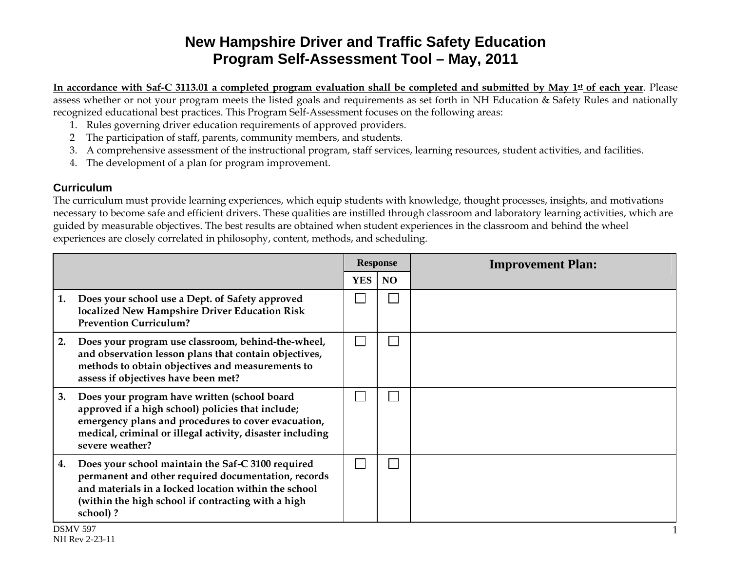# **New Hampshire Driver and Traffic Safety Education Program Self-Assessment Tool – May, 2011**

In accordance with Saf-C 3113.01 a completed program evaluation shall be completed and submitted by May 1<sup>st</sup> of each year. Please assess whether or not your program meets the listed goals and requirements as set forth in NH Education & Safety Rules and nationally recognized educational best practices. This Program Self-Assessment focuses on the following areas:

- 1. Rules governing driver education requirements of approved providers.
- 2 The participation of staff, parents, community members, and students.
- 3. A comprehensive assessment of the instructional program, staff services, learning resources, student activities, and facilities.
- 4. The development of a plan for program improvement.

#### **Curriculum**

The curriculum must provide learning experiences, which equip students with knowledge, thought processes, insights, and motivations necessary to become safe and efficient drivers. These qualities are instilled through classroom and laboratory learning activities, which are guided by measurable objectives. The best results are obtained when student experiences in the classroom and behind the wheel experiences are closely correlated in philosophy, content, methods, and scheduling.

|    |                                                                                                                                                                                                                                          |            | <b>Response</b> | <b>Improvement Plan:</b> |  |  |  |
|----|------------------------------------------------------------------------------------------------------------------------------------------------------------------------------------------------------------------------------------------|------------|-----------------|--------------------------|--|--|--|
|    |                                                                                                                                                                                                                                          | <b>YES</b> | N <sub>O</sub>  |                          |  |  |  |
| 1. | Does your school use a Dept. of Safety approved<br>localized New Hampshire Driver Education Risk<br><b>Prevention Curriculum?</b>                                                                                                        |            |                 |                          |  |  |  |
| 2. | Does your program use classroom, behind-the-wheel,<br>and observation lesson plans that contain objectives,<br>methods to obtain objectives and measurements to<br>assess if objectives have been met?                                   |            |                 |                          |  |  |  |
| 3. | Does your program have written (school board<br>approved if a high school) policies that include;<br>emergency plans and procedures to cover evacuation,<br>medical, criminal or illegal activity, disaster including<br>severe weather? |            |                 |                          |  |  |  |
| 4. | Does your school maintain the Saf-C 3100 required<br>permanent and other required documentation, records<br>and materials in a locked location within the school<br>(within the high school if contracting with a high<br>school)?       |            |                 |                          |  |  |  |
|    | DRMV 507                                                                                                                                                                                                                                 |            |                 |                          |  |  |  |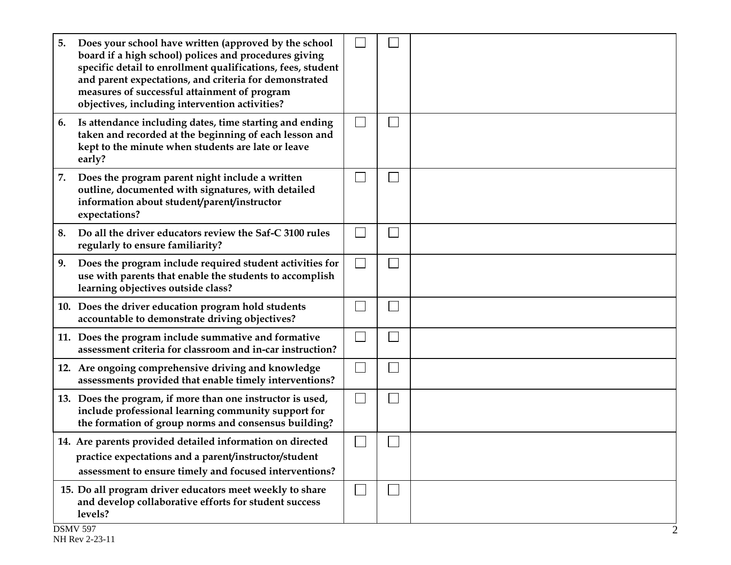| 5. | Does your school have written (approved by the school<br>board if a high school) polices and procedures giving<br>specific detail to enrollment qualifications, fees, student<br>and parent expectations, and criteria for demonstrated<br>measures of successful attainment of program<br>objectives, including intervention activities? |              |              |  |
|----|-------------------------------------------------------------------------------------------------------------------------------------------------------------------------------------------------------------------------------------------------------------------------------------------------------------------------------------------|--------------|--------------|--|
| 6. | Is attendance including dates, time starting and ending<br>taken and recorded at the beginning of each lesson and<br>kept to the minute when students are late or leave<br>early?                                                                                                                                                         | $\mathbf{L}$ |              |  |
| 7. | Does the program parent night include a written<br>outline, documented with signatures, with detailed<br>information about student/parent/instructor<br>expectations?                                                                                                                                                                     | $\mathbf{L}$ | $\Box$       |  |
| 8. | Do all the driver educators review the Saf-C 3100 rules<br>regularly to ensure familiarity?                                                                                                                                                                                                                                               | $\lfloor -1$ | $\mathbf{L}$ |  |
| 9. | Does the program include required student activities for<br>use with parents that enable the students to accomplish<br>learning objectives outside class?                                                                                                                                                                                 | $\sim$       |              |  |
|    | 10. Does the driver education program hold students<br>accountable to demonstrate driving objectives?                                                                                                                                                                                                                                     | L            |              |  |
|    | 11. Does the program include summative and formative<br>assessment criteria for classroom and in-car instruction?                                                                                                                                                                                                                         | $\mathbf{L}$ |              |  |
|    | 12. Are ongoing comprehensive driving and knowledge<br>assessments provided that enable timely interventions?                                                                                                                                                                                                                             | $\mathbf{L}$ |              |  |
|    | 13. Does the program, if more than one instructor is used,<br>include professional learning community support for<br>the formation of group norms and consensus building?                                                                                                                                                                 | $\Box$       | $\mathbf{L}$ |  |
|    | 14. Are parents provided detailed information on directed<br>practice expectations and a parent/instructor/student<br>assessment to ensure timely and focused interventions?                                                                                                                                                              |              |              |  |
|    | 15. Do all program driver educators meet weekly to share<br>and develop collaborative efforts for student success<br>levels?<br>$DQ$ $\overline{N}$ $\overline{r}$ $\overline{r}$ $\overline{r}$                                                                                                                                          |              |              |  |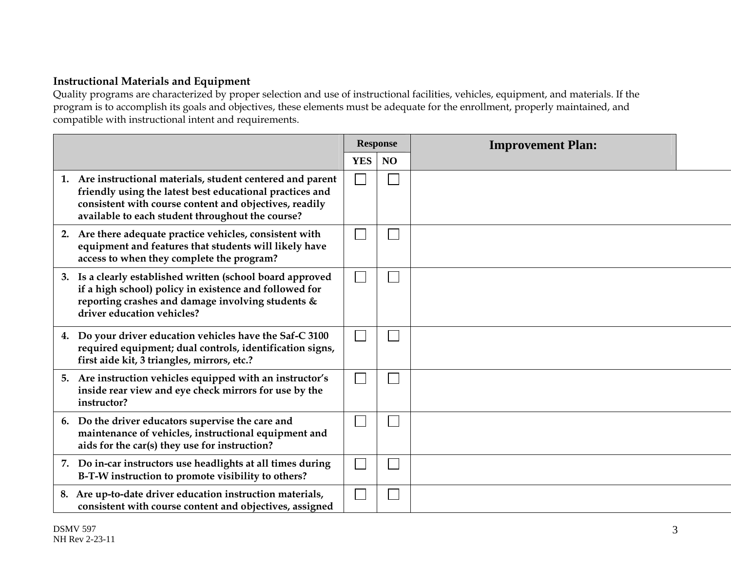## **Instructional Materials and Equipment**

Quality programs are characterized by proper selection and use of instructional facilities, vehicles, equipment, and materials. If the program is to accomplish its goals and objectives, these elements must be adequate for the enrollment, properly maintained, and compatible with instructional intent and requirements.

|                                                                                                                                                                                                                                       |            | <b>Response</b> | <b>Improvement Plan:</b> |  |
|---------------------------------------------------------------------------------------------------------------------------------------------------------------------------------------------------------------------------------------|------------|-----------------|--------------------------|--|
|                                                                                                                                                                                                                                       | <b>YES</b> | <b>NO</b>       |                          |  |
| 1. Are instructional materials, student centered and parent<br>friendly using the latest best educational practices and<br>consistent with course content and objectives, readily<br>available to each student throughout the course? |            |                 |                          |  |
| 2. Are there adequate practice vehicles, consistent with<br>equipment and features that students will likely have<br>access to when they complete the program?                                                                        |            |                 |                          |  |
| 3. Is a clearly established written (school board approved<br>if a high school) policy in existence and followed for<br>reporting crashes and damage involving students &<br>driver education vehicles?                               |            |                 |                          |  |
| 4. Do your driver education vehicles have the Saf-C 3100<br>required equipment; dual controls, identification signs,<br>first aide kit, 3 triangles, mirrors, etc.?                                                                   |            |                 |                          |  |
| 5. Are instruction vehicles equipped with an instructor's<br>inside rear view and eye check mirrors for use by the<br>instructor?                                                                                                     |            |                 |                          |  |
| Do the driver educators supervise the care and<br>6.<br>maintenance of vehicles, instructional equipment and<br>aids for the car(s) they use for instruction?                                                                         |            |                 |                          |  |
| 7. Do in-car instructors use headlights at all times during<br>B-T-W instruction to promote visibility to others?                                                                                                                     |            |                 |                          |  |
| 8. Are up-to-date driver education instruction materials,<br>consistent with course content and objectives, assigned                                                                                                                  |            |                 |                          |  |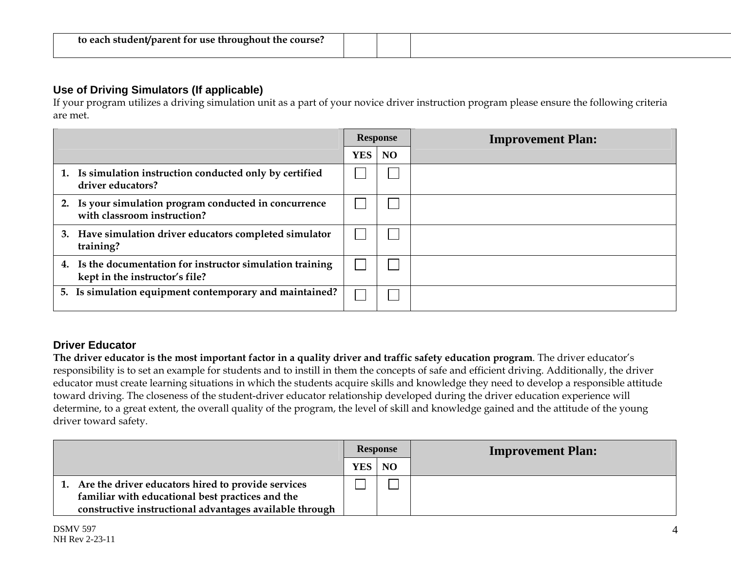| to each student/parent for use throughout the course? |  |  |
|-------------------------------------------------------|--|--|
|                                                       |  |  |

### **Use of Driving Simulators (If applicable)**

If your program utilizes a driving simulation unit as a part of your novice driver instruction program please ensure the following criteria are met.

|                                                                                              |               | <b>Response</b> | <b>Improvement Plan:</b> |
|----------------------------------------------------------------------------------------------|---------------|-----------------|--------------------------|
|                                                                                              | <b>YES</b> NO |                 |                          |
| 1. Is simulation instruction conducted only by certified<br>driver educators?                |               |                 |                          |
| 2. Is your simulation program conducted in concurrence<br>with classroom instruction?        |               |                 |                          |
| 3. Have simulation driver educators completed simulator<br>training?                         |               |                 |                          |
| 4. Is the documentation for instructor simulation training<br>kept in the instructor's file? |               |                 |                          |
| 5. Is simulation equipment contemporary and maintained?                                      |               |                 |                          |

#### **Driver Educator**

**The driver educator is the most important factor in a quality driver and traffic safety education program**. The driver educator's responsibility is to set an example for students and to instill in them the concepts of safe and efficient driving. Additionally, the driver educator must create learning situations in which the students acquire skills and knowledge they need to develop a responsible attitude toward driving. The closeness of the student-driver educator relationship developed during the driver education experience will determine, to a great extent, the overall quality of the program, the level of skill and knowledge gained and the attitude of the young driver toward safety.

|                                                                                                                                                                      | <b>Response</b> |  | <b>Improvement Plan:</b> |
|----------------------------------------------------------------------------------------------------------------------------------------------------------------------|-----------------|--|--------------------------|
|                                                                                                                                                                      | YES NO          |  |                          |
| 1. Are the driver educators hired to provide services<br>familiar with educational best practices and the<br>constructive instructional advantages available through |                 |  |                          |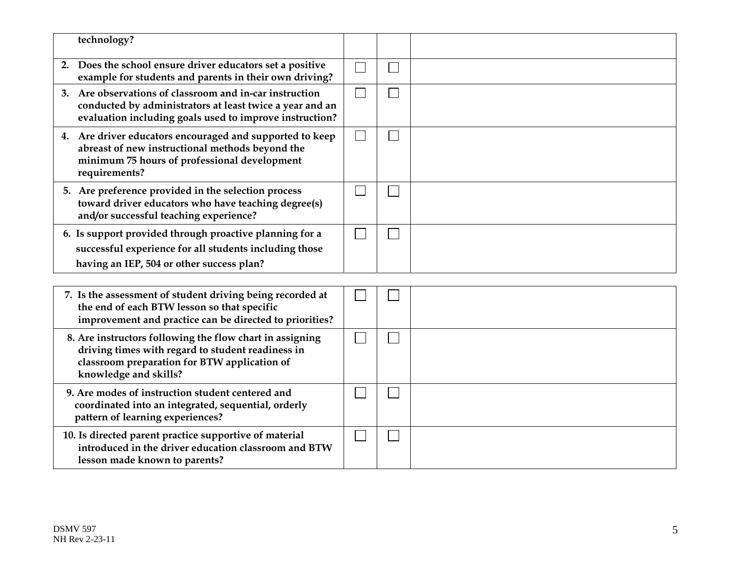| technology?                                                                                                                                                                            |              |  |
|----------------------------------------------------------------------------------------------------------------------------------------------------------------------------------------|--------------|--|
| Does the school ensure driver educators set a positive<br>2.<br>example for students and parents in their own driving?                                                                 | $\Box$       |  |
| 3. Are observations of classroom and in-car instruction<br>conducted by administrators at least twice a year and an<br>evaluation including goals used to improve instruction?         | $\mathbf{L}$ |  |
| 4. Are driver educators encouraged and supported to keep<br>abreast of new instructional methods beyond the<br>minimum 75 hours of professional development<br>requirements?           | $\mathbf{L}$ |  |
| 5. Are preference provided in the selection process<br>toward driver educators who have teaching degree(s)<br>and/or successful teaching experience?                                   |              |  |
| 6. Is support provided through proactive planning for a<br>successful experience for all students including those<br>having an IEP, 504 or other success plan?                         |              |  |
|                                                                                                                                                                                        |              |  |
| 7. Is the assessment of student driving being recorded at<br>the end of each BTW lesson so that specific<br>improvement and practice can be directed to priorities?                    |              |  |
| 8. Are instructors following the flow chart in assigning<br>driving times with regard to student readiness in<br>classroom preparation for BTW application of<br>knowledge and skills? |              |  |
| 9. Are modes of instruction student centered and<br>coordinated into an integrated, sequential, orderly<br>pattern of learning experiences?                                            |              |  |
| 10. Is directed parent practice supportive of material<br>introduced in the driver education classroom and BTW<br>lesson made known to parents?                                        |              |  |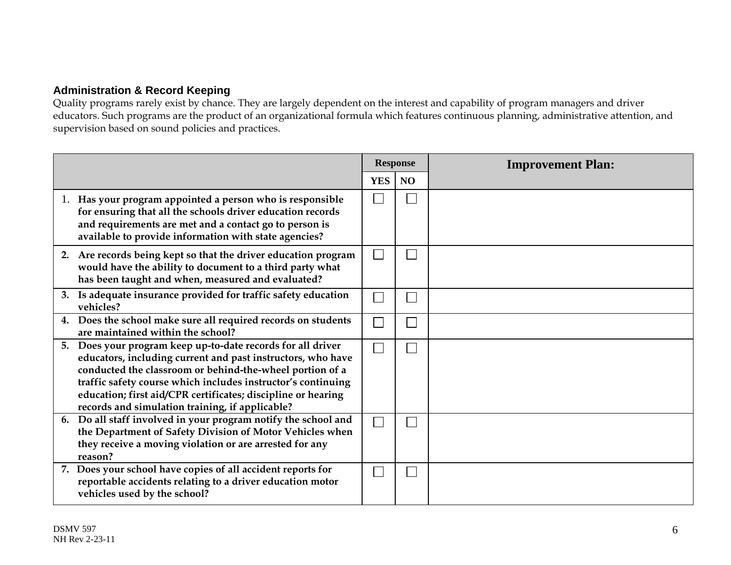## **Administration & Record Keeping**

Quality programs rarely exist by chance. They are largely dependent on the interest and capability of program managers and driver educators. Such programs are the product of an organizational formula which features continuous planning, administrative attention, and supervision based on sound policies and practices.

|                                                                                                                                                                                                                                                                                                                                                                           |            | <b>Response</b> | <b>Improvement Plan:</b> |
|---------------------------------------------------------------------------------------------------------------------------------------------------------------------------------------------------------------------------------------------------------------------------------------------------------------------------------------------------------------------------|------------|-----------------|--------------------------|
|                                                                                                                                                                                                                                                                                                                                                                           | <b>YES</b> | <b>NO</b>       |                          |
| 1. Has your program appointed a person who is responsible<br>for ensuring that all the schools driver education records<br>and requirements are met and a contact go to person is<br>available to provide information with state agencies?                                                                                                                                |            |                 |                          |
| 2. Are records being kept so that the driver education program<br>would have the ability to document to a third party what<br>has been taught and when, measured and evaluated?                                                                                                                                                                                           | $\Box$     |                 |                          |
| 3. Is adequate insurance provided for traffic safety education<br>vehicles?                                                                                                                                                                                                                                                                                               |            | $\Box$          |                          |
| 4. Does the school make sure all required records on students<br>are maintained within the school?                                                                                                                                                                                                                                                                        | $\Box$     | $\Box$          |                          |
| 5. Does your program keep up-to-date records for all driver<br>educators, including current and past instructors, who have<br>conducted the classroom or behind-the-wheel portion of a<br>traffic safety course which includes instructor's continuing<br>education; first aid/CPR certificates; discipline or hearing<br>records and simulation training, if applicable? | $\Box$     |                 |                          |
| 6. Do all staff involved in your program notify the school and<br>the Department of Safety Division of Motor Vehicles when<br>they receive a moving violation or are arrested for any<br>reason?                                                                                                                                                                          | $\Box$     |                 |                          |
| 7. Does your school have copies of all accident reports for<br>reportable accidents relating to a driver education motor<br>vehicles used by the school?                                                                                                                                                                                                                  |            | $\Box$          |                          |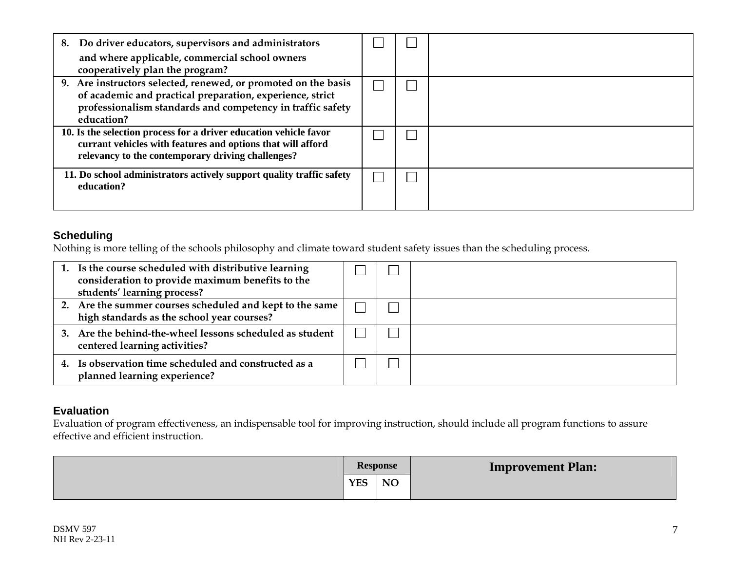| Do driver educators, supervisors and administrators<br>8.                                                                                                                                               |  |  |
|---------------------------------------------------------------------------------------------------------------------------------------------------------------------------------------------------------|--|--|
| and where applicable, commercial school owners<br>cooperatively plan the program?                                                                                                                       |  |  |
| 9. Are instructors selected, renewed, or promoted on the basis<br>of academic and practical preparation, experience, strict<br>professionalism standards and competency in traffic safety<br>education? |  |  |
| 10. Is the selection process for a driver education vehicle favor<br>currant vehicles with features and options that will afford<br>relevancy to the contemporary driving challenges?                   |  |  |
| 11. Do school administrators actively support quality traffic safety<br>education?                                                                                                                      |  |  |

#### **Scheduling**

Nothing is more telling of the schools philosophy and climate toward student safety issues than the scheduling process.

| 1. Is the course scheduled with distributive learning<br>consideration to provide maximum benefits to the<br>students' learning process? |  |  |
|------------------------------------------------------------------------------------------------------------------------------------------|--|--|
| 2. Are the summer courses scheduled and kept to the same<br>high standards as the school year courses?                                   |  |  |
| 3. Are the behind-the-wheel lessons scheduled as student<br>centered learning activities?                                                |  |  |
| 4. Is observation time scheduled and constructed as a<br>planned learning experience?                                                    |  |  |

#### **Evaluation**

Evaluation of program effectiveness, an indispensable tool for improving instruction, should include all program functions to assure effective and efficient instruction.

|            | <b>Response</b> | <b>Improvement Plan:</b> |
|------------|-----------------|--------------------------|
| <b>YES</b> | NO              |                          |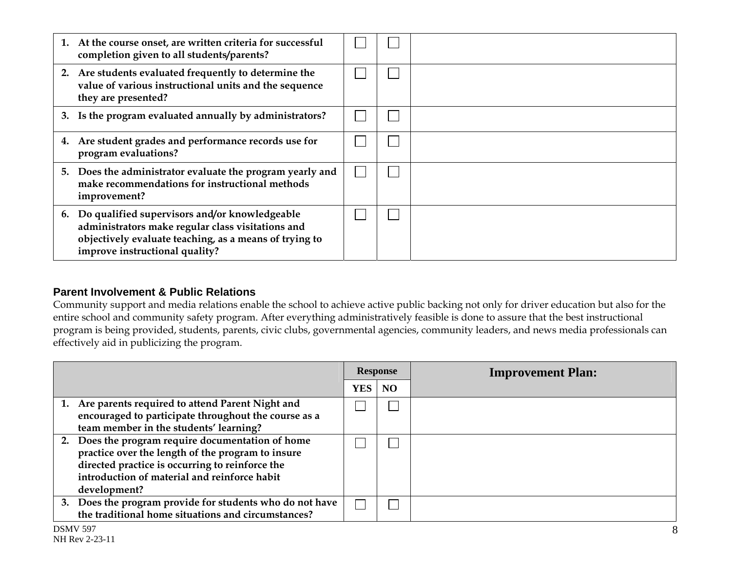| 1. At the course onset, are written criteria for successful<br>completion given to all students/parents?                                                                                          |  |  |
|---------------------------------------------------------------------------------------------------------------------------------------------------------------------------------------------------|--|--|
| 2. Are students evaluated frequently to determine the<br>value of various instructional units and the sequence<br>they are presented?                                                             |  |  |
| 3. Is the program evaluated annually by administrators?                                                                                                                                           |  |  |
| 4. Are student grades and performance records use for<br>program evaluations?                                                                                                                     |  |  |
| 5. Does the administrator evaluate the program yearly and<br>make recommendations for instructional methods<br>improvement?                                                                       |  |  |
| 6. Do qualified supervisors and/or knowledgeable<br>administrators make regular class visitations and<br>objectively evaluate teaching, as a means of trying to<br>improve instructional quality? |  |  |

#### **Parent Involvement & Public Relations**

Community support and media relations enable the school to achieve active public backing not only for driver education but also for the entire school and community safety program. After everything administratively feasible is done to assure that the best instructional program is being provided, students, parents, civic clubs, governmental agencies, community leaders, and news media professionals can effectively aid in publicizing the program.

|                                                                                                                                                                                                                           | <b>Response</b> |  | <b>Improvement Plan:</b> |  |
|---------------------------------------------------------------------------------------------------------------------------------------------------------------------------------------------------------------------------|-----------------|--|--------------------------|--|
|                                                                                                                                                                                                                           | YES NO          |  |                          |  |
| 1. Are parents required to attend Parent Night and<br>encouraged to participate throughout the course as a<br>team member in the students' learning?                                                                      |                 |  |                          |  |
| 2. Does the program require documentation of home<br>practice over the length of the program to insure<br>directed practice is occurring to reinforce the<br>introduction of material and reinforce habit<br>development? |                 |  |                          |  |
| 3. Does the program provide for students who do not have<br>the traditional home situations and circumstances?                                                                                                            |                 |  |                          |  |
| <b>DSMV 597</b>                                                                                                                                                                                                           |                 |  |                          |  |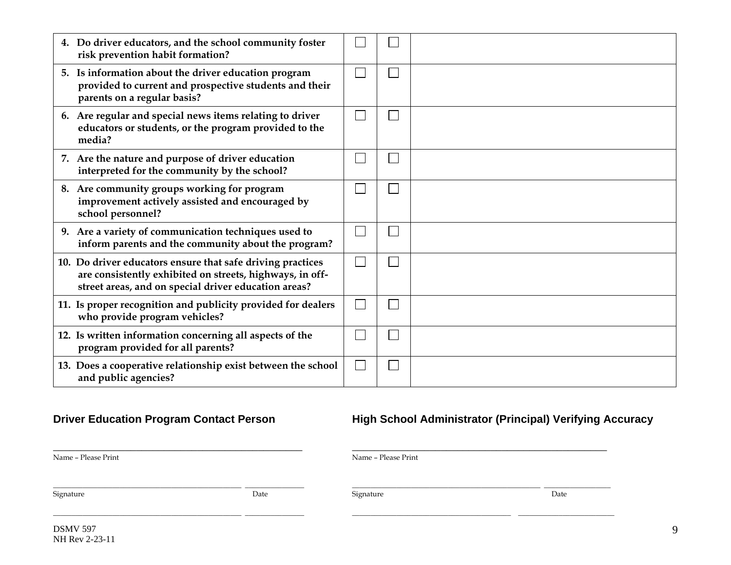| 4. Do driver educators, and the school community foster<br>risk prevention habit formation?                                                                                    |              |  |
|--------------------------------------------------------------------------------------------------------------------------------------------------------------------------------|--------------|--|
| 5. Is information about the driver education program<br>provided to current and prospective students and their<br>parents on a regular basis?                                  |              |  |
| 6. Are regular and special news items relating to driver<br>educators or students, or the program provided to the<br>media?                                                    |              |  |
| 7. Are the nature and purpose of driver education<br>interpreted for the community by the school?                                                                              |              |  |
| 8. Are community groups working for program<br>improvement actively assisted and encouraged by<br>school personnel?                                                            |              |  |
| 9. Are a variety of communication techniques used to<br>inform parents and the community about the program?                                                                    | $\mathbf{L}$ |  |
| 10. Do driver educators ensure that safe driving practices<br>are consistently exhibited on streets, highways, in off-<br>street areas, and on special driver education areas? | L            |  |
| 11. Is proper recognition and publicity provided for dealers<br>who provide program vehicles?                                                                                  |              |  |
| 12. Is written information concerning all aspects of the<br>program provided for all parents?                                                                                  |              |  |
| 13. Does a cooperative relationship exist between the school<br>and public agencies?                                                                                           | I.           |  |

# **Driver Education Program Contact Person Figh School Administrator (Principal) Verifying Accuracy**

| Name - Please Print |      | Name - Please Print |      |
|---------------------|------|---------------------|------|
| Signature           | Date | Signature           | Date |
|                     |      |                     |      |